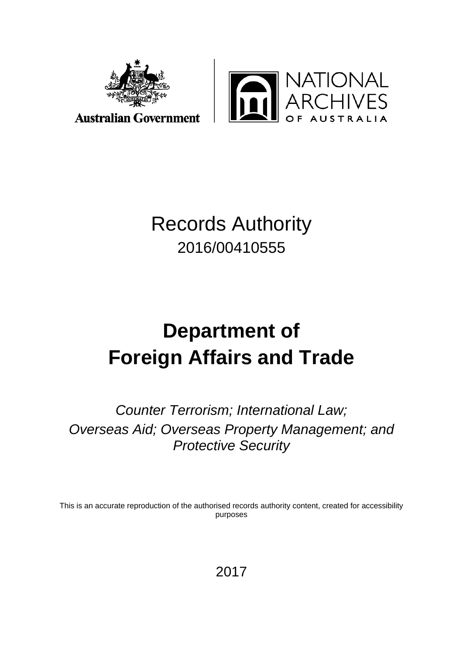



## Records Authority 2016/00410555

# **Department of Foreign Affairs and Trade**

*Counter Terrorism; International Law; Overseas Aid; Overseas Property Management; and Protective Security*

This is an accurate reproduction of the authorised records authority content, created for accessibility purposes

2017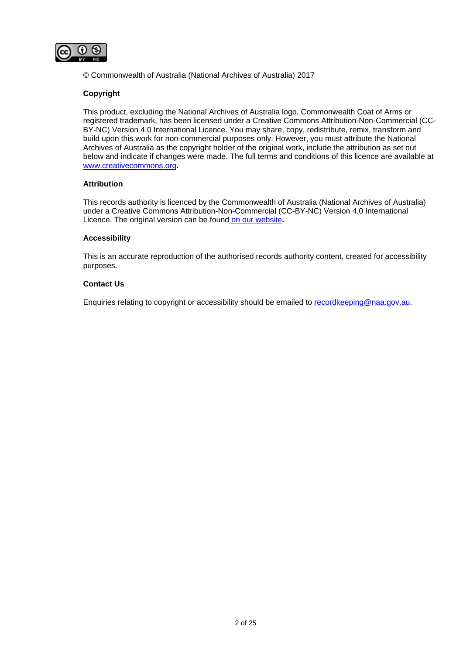

© Commonwealth of Australia (National Archives of Australia) 2017

#### **Copyright**

This product, excluding the National Archives of Australia logo, Commonwealth Coat of Arms or registered trademark, has been licensed under a Creative Commons Attribution-Non-Commercial (CC-BY-NC) Version 4.0 International Licence. You may share, copy, redistribute, remix, transform and build upon this work for non-commercial purposes only. However, you must attribute the National Archives of Australia as the copyright holder of the original work, include the attribution as set out below and indicate if changes were made. The full terms and conditions of this licence are available at [www.creativecommons.org](http://www.creativecommons.org/)**.**

#### **Attribution**

This records authority is licenced by the Commonwealth of Australia (National Archives of Australia) under a Creative Commons Attribution-Non-Commercial (CC-BY-NC) Version 4.0 International Licence. The original version can be found [on our website](http://www.naa.gov.au/)**.**

#### **Accessibility**

This is an accurate reproduction of the authorised records authority content, created for accessibility purposes.

#### **Contact Us**

Enquiries relating to copyright or accessibility should be emailed to [recordkeeping@naa.gov.au.](mailto:recordkeeping@naa.gov.au)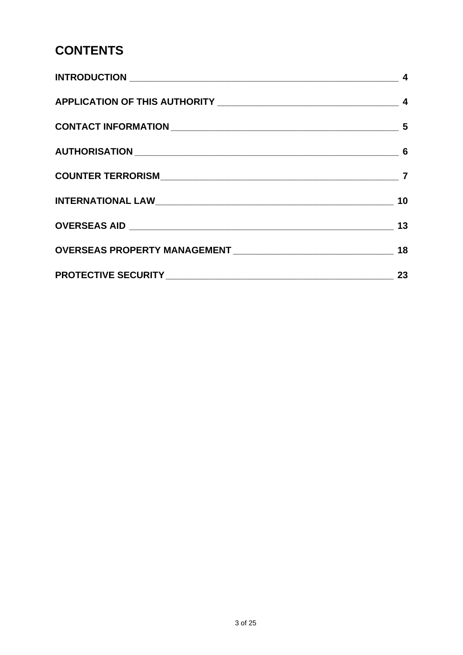### **CONTENTS**

| 23 |
|----|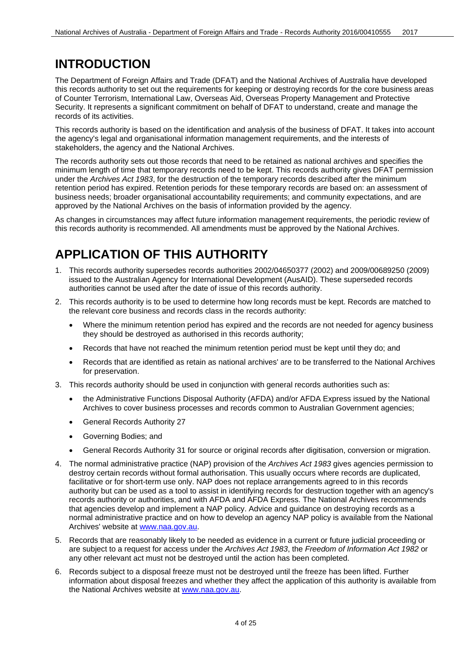#### <span id="page-3-0"></span>**INTRODUCTION**

The Department of Foreign Affairs and Trade (DFAT) and the National Archives of Australia have developed this records authority to set out the requirements for keeping or destroying records for the core business areas of Counter Terrorism, International Law, Overseas Aid, Overseas Property Management and Protective Security. It represents a significant commitment on behalf of DFAT to understand, create and manage the records of its activities.

This records authority is based on the identification and analysis of the business of DFAT. It takes into account the agency's legal and organisational information management requirements, and the interests of stakeholders, the agency and the National Archives.

The records authority sets out those records that need to be retained as national archives and specifies the minimum length of time that temporary records need to be kept. This records authority gives DFAT permission under the *Archives Act 1983*, for the destruction of the temporary records described after the minimum retention period has expired. Retention periods for these temporary records are based on: an assessment of business needs; broader organisational accountability requirements; and community expectations, and are approved by the National Archives on the basis of information provided by the agency.

As changes in circumstances may affect future information management requirements, the periodic review of this records authority is recommended. All amendments must be approved by the National Archives.

#### <span id="page-3-1"></span>**APPLICATION OF THIS AUTHORITY**

- 1. This records authority supersedes records authorities 2002/04650377 (2002) and 2009/00689250 (2009) issued to the Australian Agency for International Development (AusAID). These superseded records authorities cannot be used after the date of issue of this records authority.
- 2. This records authority is to be used to determine how long records must be kept. Records are matched to the relevant core business and records class in the records authority:
	- Where the minimum retention period has expired and the records are not needed for agency business they should be destroyed as authorised in this records authority;
	- Records that have not reached the minimum retention period must be kept until they do; and
	- Records that are identified as retain as national archives' are to be transferred to the National Archives for preservation.
- 3. This records authority should be used in conjunction with general records authorities such as:
	- the Administrative Functions Disposal Authority (AFDA) and/or AFDA Express issued by the National Archives to cover business processes and records common to Australian Government agencies;
	- General Records Authority 27
	- Governing Bodies; and
	- General Records Authority 31 for source or original records after digitisation, conversion or migration.
- 4. The normal administrative practice (NAP) provision of the *Archives Act 1983* gives agencies permission to destroy certain records without formal authorisation. This usually occurs where records are duplicated, facilitative or for short-term use only. NAP does not replace arrangements agreed to in this records authority but can be used as a tool to assist in identifying records for destruction together with an agency's records authority or authorities, and with AFDA and AFDA Express. The National Archives recommends that agencies develop and implement a NAP policy. Advice and guidance on destroying records as a normal administrative practice and on how to develop an agency NAP policy is available from the National Archives' website at [www.naa.gov.au.](http://www.naa.gov.au/)
- 5. Records that are reasonably likely to be needed as evidence in a current or future judicial proceeding or are subject to a request for access under the *Archives Act 1983*, the *Freedom of Information Act 1982* or any other relevant act must not be destroyed until the action has been completed.
- 6. Records subject to a disposal freeze must not be destroyed until the freeze has been lifted. Further information about disposal freezes and whether they affect the application of this authority is available from the National Archives website at [www.naa.gov.au.](http://www.naa.gov.au/)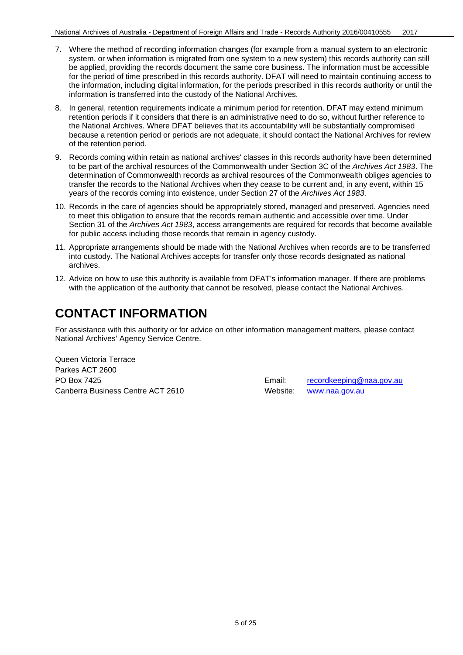- 7. Where the method of recording information changes (for example from a manual system to an electronic system, or when information is migrated from one system to a new system) this records authority can still be applied, providing the records document the same core business. The information must be accessible for the period of time prescribed in this records authority. DFAT will need to maintain continuing access to the information, including digital information, for the periods prescribed in this records authority or until the information is transferred into the custody of the National Archives.
- 8. In general, retention requirements indicate a minimum period for retention. DFAT may extend minimum retention periods if it considers that there is an administrative need to do so, without further reference to the National Archives. Where DFAT believes that its accountability will be substantially compromised because a retention period or periods are not adequate, it should contact the National Archives for review of the retention period.
- 9. Records coming within retain as national archives' classes in this records authority have been determined to be part of the archival resources of the Commonwealth under Section 3C of the *Archives Act 1983*. The determination of Commonwealth records as archival resources of the Commonwealth obliges agencies to transfer the records to the National Archives when they cease to be current and, in any event, within 15 years of the records coming into existence, under Section 27 of the *Archives Act 1983*.
- 10. Records in the care of agencies should be appropriately stored, managed and preserved. Agencies need to meet this obligation to ensure that the records remain authentic and accessible over time. Under Section 31 of the *Archives Act 1983*, access arrangements are required for records that become available for public access including those records that remain in agency custody.
- 11. Appropriate arrangements should be made with the National Archives when records are to be transferred into custody. The National Archives accepts for transfer only those records designated as national archives.
- 12. Advice on how to use this authority is available from DFAT's information manager. If there are problems with the application of the authority that cannot be resolved, please contact the National Archives.

#### <span id="page-4-0"></span>**CONTACT INFORMATION**

For assistance with this authority or for advice on other information management matters, please contact National Archives' Agency Service Centre.

Queen Victoria Terrace Parkes ACT 2600 PO Box 7425 **Email:** [recordkeeping@naa.gov.au](mailto:recordkeeping@naa.gov.au) **Email: Email:** recordkeeping@naa.gov.au Canberra Business Centre ACT 2610 Website: [www.naa.gov.au](http://www.naa.gov.au/)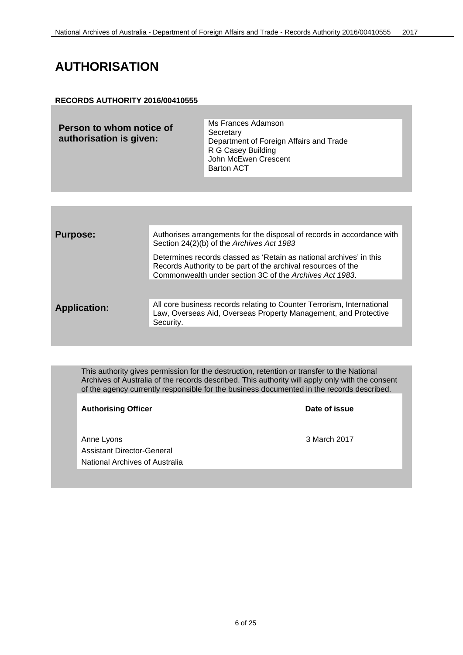#### <span id="page-5-0"></span>**AUTHORISATION**

#### **RECORDS AUTHORITY 2016/00410555**

| Person to whom notice of<br>authorisation is given: | Ms Frances Adamson<br>Secretary<br>Department of Foreign Affairs and Trade<br>R G Casey Building<br>John McEwen Crescent<br><b>Barton ACT</b> |
|-----------------------------------------------------|-----------------------------------------------------------------------------------------------------------------------------------------------|
|                                                     |                                                                                                                                               |

| <b>Purpose:</b>     | Authorises arrangements for the disposal of records in accordance with<br>Section 24(2)(b) of the Archives Act 1983                                                                             |
|---------------------|-------------------------------------------------------------------------------------------------------------------------------------------------------------------------------------------------|
|                     | Determines records classed as 'Retain as national archives' in this<br>Records Authority to be part of the archival resources of the<br>Commonwealth under section 3C of the Archives Act 1983. |
|                     | All core business records relating to Counter Terrorism, International                                                                                                                          |
| <b>Application:</b> | Law, Overseas Aid, Overseas Property Management, and Protective<br>Security.                                                                                                                    |
|                     |                                                                                                                                                                                                 |

This authority gives permission for the destruction, retention or transfer to the National Archives of Australia of the records described. This authority will apply only with the consent of the agency currently responsible for the business documented in the records described.

| <b>Authorising Officer</b>                                                        | Date of issue |
|-----------------------------------------------------------------------------------|---------------|
| Anne Lyons<br><b>Assistant Director-General</b><br>National Archives of Australia | 3 March 2017  |
|                                                                                   |               |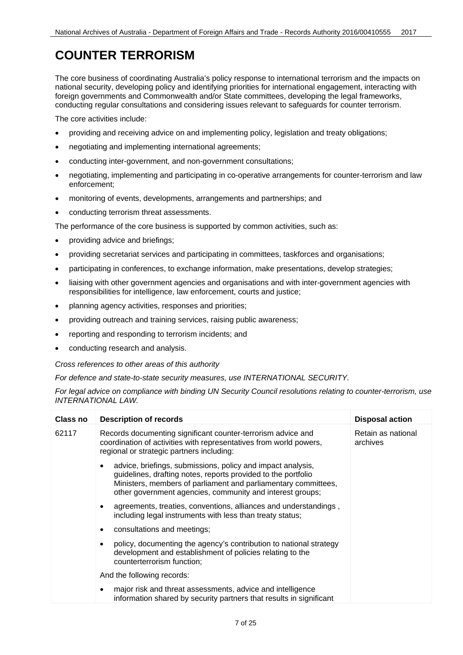#### <span id="page-6-0"></span>**COUNTER TERRORISM**

The core business of coordinating Australia's policy response to international terrorism and the impacts on national security, developing policy and identifying priorities for international engagement, interacting with foreign governments and Commonwealth and/or State committees, developing the legal frameworks, conducting regular consultations and considering issues relevant to safeguards for counter terrorism.

The core activities include:

- providing and receiving advice on and implementing policy, legislation and treaty obligations;
- negotiating and implementing international agreements;
- conducting inter-government, and non-government consultations;
- negotiating, implementing and participating in co-operative arrangements for counter-terrorism and law enforcement;
- monitoring of events, developments, arrangements and partnerships; and
- conducting terrorism threat assessments.

The performance of the core business is supported by common activities, such as:

- providing advice and briefings;
- providing secretariat services and participating in committees, taskforces and organisations;
- participating in conferences, to exchange information, make presentations, develop strategies;
- liaising with other government agencies and organisations and with inter-government agencies with responsibilities for intelligence, law enforcement, courts and justice;
- planning agency activities, responses and priorities;
- providing outreach and training services, raising public awareness;
- reporting and responding to terrorism incidents; and
- conducting research and analysis.

*Cross references to other areas of this authority*

*For defence and state-to-state security measures, use INTERNATIONAL SECURITY.*

*For legal advice on compliance with binding UN Security Council resolutions relating to counter-terrorism, use INTERNATIONAL LAW.*

| Class no | <b>Description of records</b>                                                                                                                                                                                                                               | <b>Disposal action</b>         |
|----------|-------------------------------------------------------------------------------------------------------------------------------------------------------------------------------------------------------------------------------------------------------------|--------------------------------|
| 62117    | Records documenting significant counter-terrorism advice and<br>coordination of activities with representatives from world powers,<br>regional or strategic partners including:                                                                             | Retain as national<br>archives |
|          | advice, briefings, submissions, policy and impact analysis,<br>guidelines, drafting notes, reports provided to the portfolio<br>Ministers, members of parliament and parliamentary committees,<br>other government agencies, community and interest groups; |                                |
|          | agreements, treaties, conventions, alliances and understandings,<br>٠<br>including legal instruments with less than treaty status;                                                                                                                          |                                |
|          | consultations and meetings;<br>٠                                                                                                                                                                                                                            |                                |
|          | policy, documenting the agency's contribution to national strategy<br>٠<br>development and establishment of policies relating to the<br>counterterrorism function;                                                                                          |                                |
|          | And the following records:                                                                                                                                                                                                                                  |                                |
|          | major risk and threat assessments, advice and intelligence<br>information shared by security partners that results in significant                                                                                                                           |                                |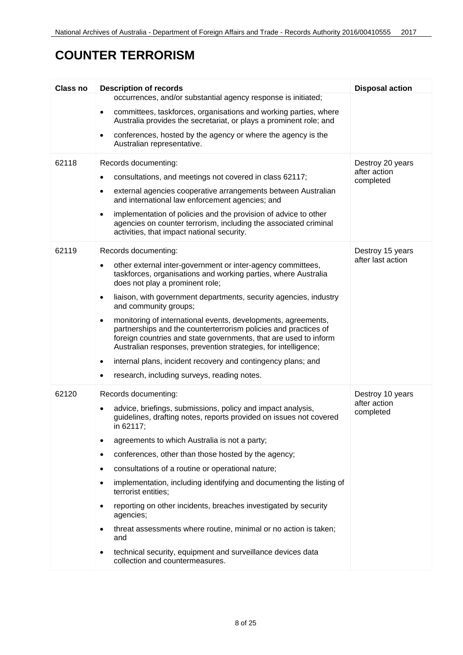#### **COUNTER TERRORISM**

| <b>Class no</b> | <b>Description of records</b>                                                                                                                                                                                                                                                       | <b>Disposal action</b>    |
|-----------------|-------------------------------------------------------------------------------------------------------------------------------------------------------------------------------------------------------------------------------------------------------------------------------------|---------------------------|
|                 | occurrences, and/or substantial agency response is initiated;                                                                                                                                                                                                                       |                           |
|                 | committees, taskforces, organisations and working parties, where<br>$\bullet$<br>Australia provides the secretariat, or plays a prominent role; and                                                                                                                                 |                           |
|                 | conferences, hosted by the agency or where the agency is the<br>$\bullet$<br>Australian representative.                                                                                                                                                                             |                           |
| 62118           | Records documenting:                                                                                                                                                                                                                                                                | Destroy 20 years          |
|                 | consultations, and meetings not covered in class 62117;<br>٠                                                                                                                                                                                                                        | after action<br>completed |
|                 | external agencies cooperative arrangements between Australian<br>٠<br>and international law enforcement agencies; and                                                                                                                                                               |                           |
|                 | implementation of policies and the provision of advice to other<br>$\bullet$<br>agencies on counter terrorism, including the associated criminal<br>activities, that impact national security.                                                                                      |                           |
| 62119           | Records documenting:                                                                                                                                                                                                                                                                | Destroy 15 years          |
|                 | other external inter-government or inter-agency committees,<br>taskforces, organisations and working parties, where Australia<br>does not play a prominent role;                                                                                                                    | after last action         |
|                 | liaison, with government departments, security agencies, industry<br>$\bullet$<br>and community groups;                                                                                                                                                                             |                           |
|                 | monitoring of international events, developments, agreements,<br>$\bullet$<br>partnerships and the counterterrorism policies and practices of<br>foreign countries and state governments, that are used to inform<br>Australian responses, prevention strategies, for intelligence; |                           |
|                 | internal plans, incident recovery and contingency plans; and<br>٠                                                                                                                                                                                                                   |                           |
|                 | research, including surveys, reading notes.                                                                                                                                                                                                                                         |                           |
| 62120           | Records documenting:                                                                                                                                                                                                                                                                | Destroy 10 years          |
|                 | advice, briefings, submissions, policy and impact analysis,<br>$\bullet$<br>guidelines, drafting notes, reports provided on issues not covered<br>in 62117;                                                                                                                         | after action<br>completed |
|                 | agreements to which Australia is not a party;                                                                                                                                                                                                                                       |                           |
|                 | conferences, other than those hosted by the agency;<br>٠                                                                                                                                                                                                                            |                           |
|                 | consultations of a routine or operational nature;                                                                                                                                                                                                                                   |                           |
|                 | implementation, including identifying and documenting the listing of<br>terrorist entities;                                                                                                                                                                                         |                           |
|                 | reporting on other incidents, breaches investigated by security<br>agencies;                                                                                                                                                                                                        |                           |
|                 | threat assessments where routine, minimal or no action is taken;<br>and                                                                                                                                                                                                             |                           |
|                 | technical security, equipment and surveillance devices data<br>collection and countermeasures.                                                                                                                                                                                      |                           |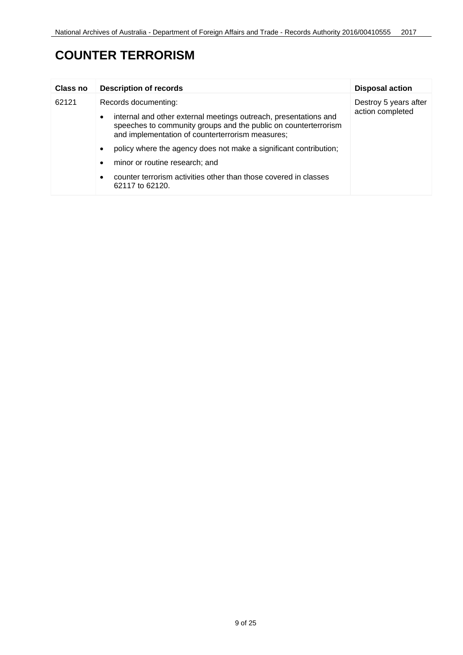### **COUNTER TERRORISM**

| Class no | <b>Description of records</b>                                                                                                                                                                        | <b>Disposal action</b> |
|----------|------------------------------------------------------------------------------------------------------------------------------------------------------------------------------------------------------|------------------------|
| 62121    | Records documenting:                                                                                                                                                                                 | Destroy 5 years after  |
|          | internal and other external meetings outreach, presentations and<br>$\bullet$<br>speeches to community groups and the public on counterterrorism<br>and implementation of counterterrorism measures; | action completed       |
|          | policy where the agency does not make a significant contribution;<br>$\bullet$                                                                                                                       |                        |
|          | minor or routine research; and<br>$\bullet$                                                                                                                                                          |                        |
|          | counter terrorism activities other than those covered in classes<br>62117 to 62120.                                                                                                                  |                        |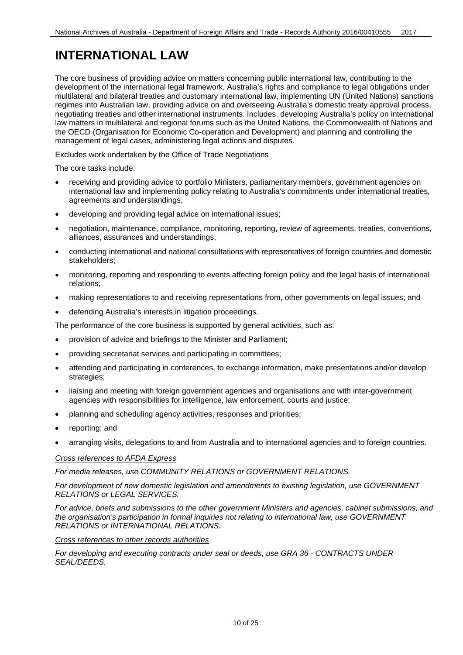#### <span id="page-9-0"></span>**INTERNATIONAL LAW**

The core business of providing advice on matters concerning public international law, contributing to the development of the international legal framework, Australia's rights and compliance to legal obligations under multilateral and bilateral treaties and customary international law, implementing UN (United Nations) sanctions regimes into Australian law, providing advice on and overseeing Australia's domestic treaty approval process, negotiating treaties and other international instruments. Includes, developing Australia's policy on international law matters in multilateral and regional forums such as the United Nations, the Commonwealth of Nations and the OECD (Organisation for Economic Co-operation and Development) and planning and controlling the management of legal cases, administering legal actions and disputes.

Excludes work undertaken by the Office of Trade Negotiations

The core tasks include:

- receiving and providing advice to portfolio Ministers, parliamentary members, government agencies on international law and implementing policy relating to Australia's commitments under international treaties, agreements and understandings;
- developing and providing legal advice on international issues;
- negotiation, maintenance, compliance, monitoring, reporting, review of agreements, treaties, conventions, alliances, assurances and understandings;
- conducting international and national consultations with representatives of foreign countries and domestic stakeholders;
- monitoring, reporting and responding to events affecting foreign policy and the legal basis of international relations;
- making representations to and receiving representations from, other governments on legal issues; and
- defending Australia's interests in litigation proceedings.

The performance of the core business is supported by general activities, such as:

- provision of advice and briefings to the Minister and Parliament;
- providing secretariat services and participating in committees;
- attending and participating in conferences, to exchange information, make presentations and/or develop strategies;
- liaising and meeting with foreign government agencies and organisations and with inter-government agencies with responsibilities for intelligence, law enforcement, courts and justice;
- planning and scheduling agency activities, responses and priorities;
- reporting; and
- arranging visits, delegations to and from Australia and to international agencies and to foreign countries.

#### *Cross references to AFDA Express*

*For media releases, use COMMUNITY RELATIONS or GOVERNMENT RELATIONS.*

*For development of new domestic legislation and amendments to existing legislation, use GOVERNMENT RELATIONS or LEGAL SERVICES.*

*For advice, briefs and submissions to the other government Ministers and agencies, cabinet submissions, and the organisation's participation in formal inquiries not relating to international law, use GOVERNMENT RELATIONS or INTERNATIONAL RELATIONS.*

#### *Cross references to other records authorities*

*For developing and executing contracts under seal or deeds, use GRA 36 - CONTRACTS UNDER SEAL/DEEDS.*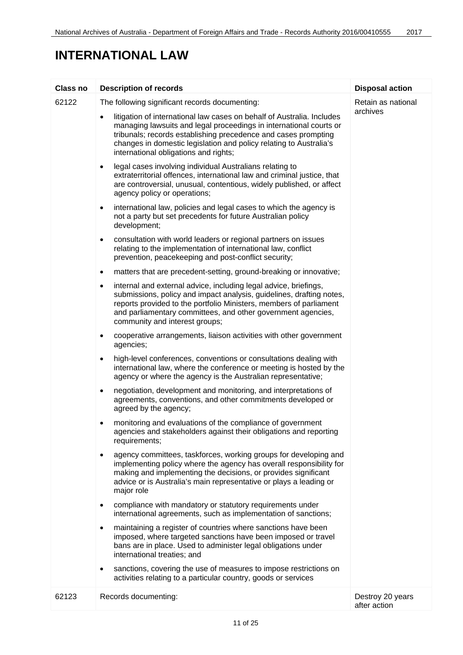#### **INTERNATIONAL LAW**

| Class no | <b>Description of records</b>                                                                                                                                                                                                                                                                                                              | <b>Disposal action</b>           |
|----------|--------------------------------------------------------------------------------------------------------------------------------------------------------------------------------------------------------------------------------------------------------------------------------------------------------------------------------------------|----------------------------------|
| 62122    | The following significant records documenting:                                                                                                                                                                                                                                                                                             | Retain as national<br>archives   |
|          | litigation of international law cases on behalf of Australia. Includes<br>$\bullet$<br>managing lawsuits and legal proceedings in international courts or<br>tribunals; records establishing precedence and cases prompting<br>changes in domestic legislation and policy relating to Australia's<br>international obligations and rights; |                                  |
|          | legal cases involving individual Australians relating to<br>$\bullet$<br>extraterritorial offences, international law and criminal justice, that<br>are controversial, unusual, contentious, widely published, or affect<br>agency policy or operations;                                                                                   |                                  |
|          | international law, policies and legal cases to which the agency is<br>$\bullet$<br>not a party but set precedents for future Australian policy<br>development;                                                                                                                                                                             |                                  |
|          | consultation with world leaders or regional partners on issues<br>$\bullet$<br>relating to the implementation of international law, conflict<br>prevention, peacekeeping and post-conflict security;                                                                                                                                       |                                  |
|          | matters that are precedent-setting, ground-breaking or innovative;<br>$\bullet$                                                                                                                                                                                                                                                            |                                  |
|          | internal and external advice, including legal advice, briefings,<br>$\bullet$<br>submissions, policy and impact analysis, guidelines, drafting notes,<br>reports provided to the portfolio Ministers, members of parliament<br>and parliamentary committees, and other government agencies,<br>community and interest groups;              |                                  |
|          | cooperative arrangements, liaison activities with other government<br>$\bullet$<br>agencies;                                                                                                                                                                                                                                               |                                  |
|          | high-level conferences, conventions or consultations dealing with<br>$\bullet$<br>international law, where the conference or meeting is hosted by the<br>agency or where the agency is the Australian representative;                                                                                                                      |                                  |
|          | negotiation, development and monitoring, and interpretations of<br>٠<br>agreements, conventions, and other commitments developed or<br>agreed by the agency;                                                                                                                                                                               |                                  |
|          | monitoring and evaluations of the compliance of government<br>agencies and stakeholders against their obligations and reporting<br>requirements;                                                                                                                                                                                           |                                  |
|          | agency committees, taskforces, working groups for developing and<br>implementing policy where the agency has overall responsibility for<br>making and implementing the decisions, or provides significant<br>advice or is Australia's main representative or plays a leading or<br>major role                                              |                                  |
|          | compliance with mandatory or statutory requirements under<br>$\bullet$<br>international agreements, such as implementation of sanctions;                                                                                                                                                                                                   |                                  |
|          | maintaining a register of countries where sanctions have been<br>imposed, where targeted sanctions have been imposed or travel<br>bans are in place. Used to administer legal obligations under<br>international treaties; and                                                                                                             |                                  |
|          | sanctions, covering the use of measures to impose restrictions on<br>٠<br>activities relating to a particular country, goods or services                                                                                                                                                                                                   |                                  |
| 62123    | Records documenting:                                                                                                                                                                                                                                                                                                                       | Destroy 20 years<br>after action |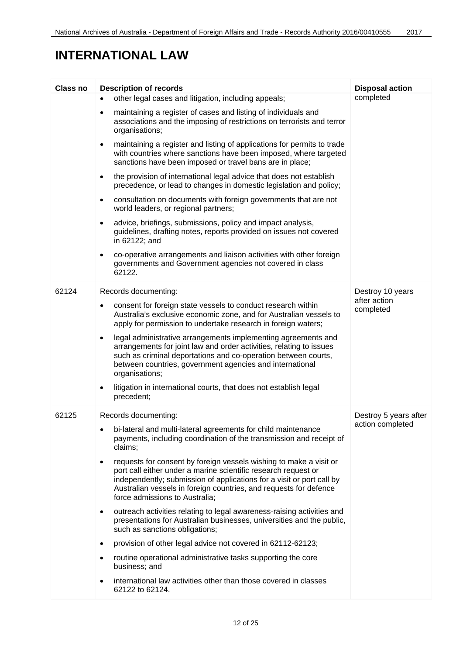#### **INTERNATIONAL LAW**

| <b>Class no</b> | <b>Description of records</b>                                                                                                                                                                                                                                                                                                     | <b>Disposal action</b>    |
|-----------------|-----------------------------------------------------------------------------------------------------------------------------------------------------------------------------------------------------------------------------------------------------------------------------------------------------------------------------------|---------------------------|
|                 | other legal cases and litigation, including appeals;                                                                                                                                                                                                                                                                              | completed                 |
|                 | maintaining a register of cases and listing of individuals and<br>$\bullet$<br>associations and the imposing of restrictions on terrorists and terror<br>organisations;                                                                                                                                                           |                           |
|                 | maintaining a register and listing of applications for permits to trade<br>$\bullet$<br>with countries where sanctions have been imposed, where targeted<br>sanctions have been imposed or travel bans are in place;                                                                                                              |                           |
|                 | the provision of international legal advice that does not establish<br>$\bullet$<br>precedence, or lead to changes in domestic legislation and policy;                                                                                                                                                                            |                           |
|                 | consultation on documents with foreign governments that are not<br>$\bullet$<br>world leaders, or regional partners;                                                                                                                                                                                                              |                           |
|                 | advice, briefings, submissions, policy and impact analysis,<br>$\bullet$<br>guidelines, drafting notes, reports provided on issues not covered<br>in 62122; and                                                                                                                                                                   |                           |
|                 | co-operative arrangements and liaison activities with other foreign<br>$\bullet$<br>governments and Government agencies not covered in class<br>62122.                                                                                                                                                                            |                           |
| 62124           | Records documenting:                                                                                                                                                                                                                                                                                                              | Destroy 10 years          |
|                 | consent for foreign state vessels to conduct research within<br>Australia's exclusive economic zone, and for Australian vessels to<br>apply for permission to undertake research in foreign waters;                                                                                                                               | after action<br>completed |
|                 | legal administrative arrangements implementing agreements and<br>$\bullet$<br>arrangements for joint law and order activities, relating to issues<br>such as criminal deportations and co-operation between courts,<br>between countries, government agencies and international<br>organisations;                                 |                           |
|                 | litigation in international courts, that does not establish legal<br>precedent;                                                                                                                                                                                                                                                   |                           |
| 62125           | Records documenting:                                                                                                                                                                                                                                                                                                              | Destroy 5 years after     |
|                 | bi-lateral and multi-lateral agreements for child maintenance<br>payments, including coordination of the transmission and receipt of<br>claims;                                                                                                                                                                                   | action completed          |
|                 | requests for consent by foreign vessels wishing to make a visit or<br>$\bullet$<br>port call either under a marine scientific research request or<br>independently; submission of applications for a visit or port call by<br>Australian vessels in foreign countries, and requests for defence<br>force admissions to Australia; |                           |
|                 | outreach activities relating to legal awareness-raising activities and<br>$\bullet$<br>presentations for Australian businesses, universities and the public,<br>such as sanctions obligations;                                                                                                                                    |                           |
|                 | provision of other legal advice not covered in 62112-62123;<br>$\bullet$                                                                                                                                                                                                                                                          |                           |
|                 | routine operational administrative tasks supporting the core<br>business; and                                                                                                                                                                                                                                                     |                           |
|                 | international law activities other than those covered in classes<br>62122 to 62124.                                                                                                                                                                                                                                               |                           |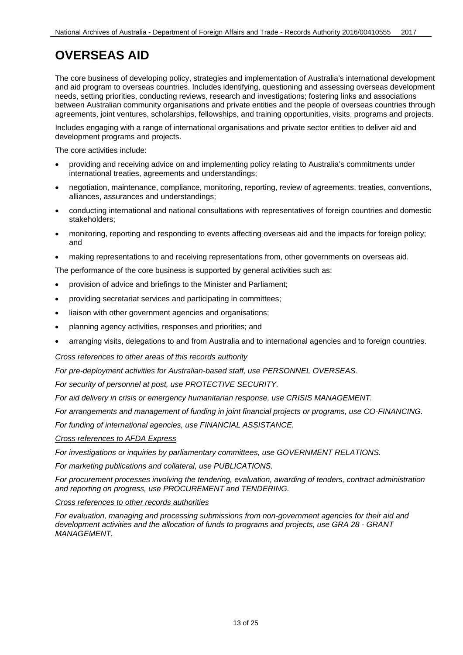<span id="page-12-0"></span>The core business of developing policy, strategies and implementation of Australia's international development and aid program to overseas countries. Includes identifying, questioning and assessing overseas development needs, setting priorities, conducting reviews, research and investigations; fostering links and associations between Australian community organisations and private entities and the people of overseas countries through agreements, joint ventures, scholarships, fellowships, and training opportunities, visits, programs and projects.

Includes engaging with a range of international organisations and private sector entities to deliver aid and development programs and projects.

The core activities include:

- providing and receiving advice on and implementing policy relating to Australia's commitments under international treaties, agreements and understandings;
- negotiation, maintenance, compliance, monitoring, reporting, review of agreements, treaties, conventions, alliances, assurances and understandings;
- conducting international and national consultations with representatives of foreign countries and domestic stakeholders;
- monitoring, reporting and responding to events affecting overseas aid and the impacts for foreign policy; and
- making representations to and receiving representations from, other governments on overseas aid.

The performance of the core business is supported by general activities such as:

- provision of advice and briefings to the Minister and Parliament;
- providing secretariat services and participating in committees;
- liaison with other government agencies and organisations;
- planning agency activities, responses and priorities; and
- arranging visits, delegations to and from Australia and to international agencies and to foreign countries.

*Cross references to other areas of this records authority*

*For pre-deployment activities for Australian-based staff, use PERSONNEL OVERSEAS.*

*For security of personnel at post, use PROTECTIVE SECURITY.*

*For aid delivery in crisis or emergency humanitarian response, use CRISIS MANAGEMENT.*

*For arrangements and management of funding in joint financial projects or programs, use CO-FINANCING.*

*For funding of international agencies, use FINANCIAL ASSISTANCE.*

#### *Cross references to AFDA Express*

*For investigations or inquiries by parliamentary committees, use GOVERNMENT RELATIONS.*

*For marketing publications and collateral, use PUBLICATIONS.*

*For procurement processes involving the tendering, evaluation, awarding of tenders, contract administration and reporting on progress, use PROCUREMENT and TENDERING.*

#### *Cross references to other records authorities*

*For evaluation, managing and processing submissions from non-government agencies for their aid and development activities and the allocation of funds to programs and projects, use GRA 28 - GRANT MANAGEMENT.*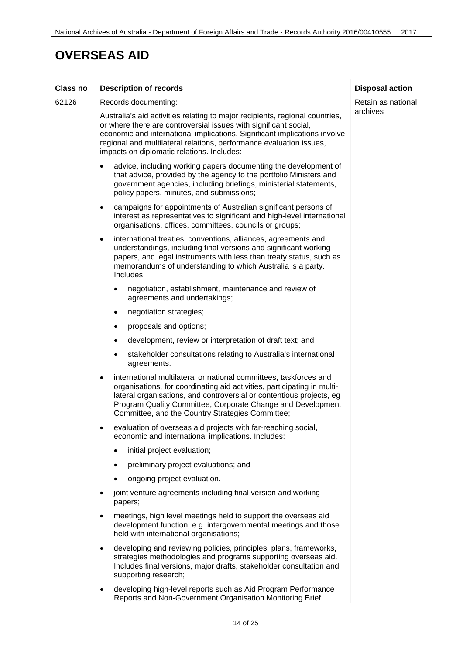| <b>Class no</b> | <b>Description of records</b>                                                                                                                                                                                                                                                                                                                        | <b>Disposal action</b> |
|-----------------|------------------------------------------------------------------------------------------------------------------------------------------------------------------------------------------------------------------------------------------------------------------------------------------------------------------------------------------------------|------------------------|
| 62126           | Records documenting:                                                                                                                                                                                                                                                                                                                                 | Retain as national     |
|                 | Australia's aid activities relating to major recipients, regional countries,<br>or where there are controversial issues with significant social,<br>economic and international implications. Significant implications involve<br>regional and multilateral relations, performance evaluation issues,<br>impacts on diplomatic relations. Includes:   | archives               |
|                 | advice, including working papers documenting the development of<br>that advice, provided by the agency to the portfolio Ministers and<br>government agencies, including briefings, ministerial statements,<br>policy papers, minutes, and submissions;                                                                                               |                        |
|                 | campaigns for appointments of Australian significant persons of<br>$\bullet$<br>interest as representatives to significant and high-level international<br>organisations, offices, committees, councils or groups;                                                                                                                                   |                        |
|                 | international treaties, conventions, alliances, agreements and<br>$\bullet$<br>understandings, including final versions and significant working<br>papers, and legal instruments with less than treaty status, such as<br>memorandums of understanding to which Australia is a party.<br>Includes:                                                   |                        |
|                 | negotiation, establishment, maintenance and review of<br>agreements and undertakings;                                                                                                                                                                                                                                                                |                        |
|                 | negotiation strategies;                                                                                                                                                                                                                                                                                                                              |                        |
|                 | proposals and options;                                                                                                                                                                                                                                                                                                                               |                        |
|                 | development, review or interpretation of draft text; and                                                                                                                                                                                                                                                                                             |                        |
|                 | stakeholder consultations relating to Australia's international<br>agreements.                                                                                                                                                                                                                                                                       |                        |
|                 | international multilateral or national committees, taskforces and<br>$\bullet$<br>organisations, for coordinating aid activities, participating in multi-<br>lateral organisations, and controversial or contentious projects, eg<br>Program Quality Committee, Corporate Change and Development<br>Committee, and the Country Strategies Committee; |                        |
|                 | evaluation of overseas aid projects with far-reaching social,<br>٠<br>economic and international implications. Includes:                                                                                                                                                                                                                             |                        |
|                 | initial project evaluation;                                                                                                                                                                                                                                                                                                                          |                        |
|                 | preliminary project evaluations; and                                                                                                                                                                                                                                                                                                                 |                        |
|                 | ongoing project evaluation.                                                                                                                                                                                                                                                                                                                          |                        |
|                 | joint venture agreements including final version and working<br>papers;                                                                                                                                                                                                                                                                              |                        |
|                 | meetings, high level meetings held to support the overseas aid<br>development function, e.g. intergovernmental meetings and those<br>held with international organisations;                                                                                                                                                                          |                        |
|                 | developing and reviewing policies, principles, plans, frameworks,<br>$\bullet$<br>strategies methodologies and programs supporting overseas aid.<br>Includes final versions, major drafts, stakeholder consultation and<br>supporting research;                                                                                                      |                        |
|                 | developing high-level reports such as Aid Program Performance<br>$\bullet$<br>Reports and Non-Government Organisation Monitoring Brief.                                                                                                                                                                                                              |                        |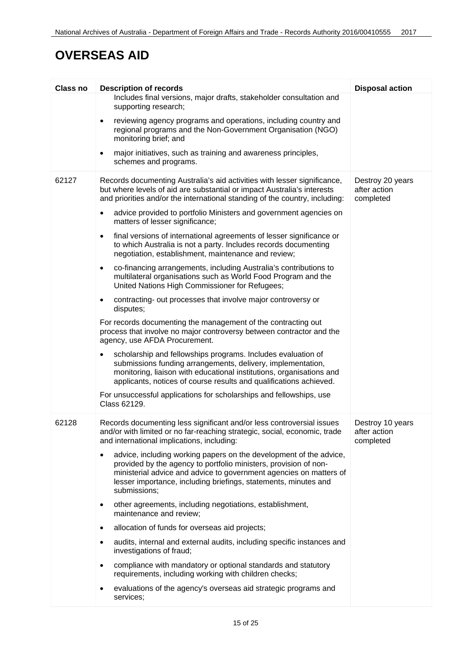| <b>Class no</b> | <b>Description of records</b>                                                                                                                                                                                                                                                                   | <b>Disposal action</b>                        |
|-----------------|-------------------------------------------------------------------------------------------------------------------------------------------------------------------------------------------------------------------------------------------------------------------------------------------------|-----------------------------------------------|
|                 | Includes final versions, major drafts, stakeholder consultation and<br>supporting research;                                                                                                                                                                                                     |                                               |
|                 | reviewing agency programs and operations, including country and<br>$\bullet$<br>regional programs and the Non-Government Organisation (NGO)<br>monitoring brief; and                                                                                                                            |                                               |
|                 | major initiatives, such as training and awareness principles,<br>$\bullet$<br>schemes and programs.                                                                                                                                                                                             |                                               |
| 62127           | Records documenting Australia's aid activities with lesser significance,<br>but where levels of aid are substantial or impact Australia's interests<br>and priorities and/or the international standing of the country, including:                                                              | Destroy 20 years<br>after action<br>completed |
|                 | advice provided to portfolio Ministers and government agencies on<br>$\bullet$<br>matters of lesser significance;                                                                                                                                                                               |                                               |
|                 | final versions of international agreements of lesser significance or<br>$\bullet$<br>to which Australia is not a party. Includes records documenting<br>negotiation, establishment, maintenance and review;                                                                                     |                                               |
|                 | co-financing arrangements, including Australia's contributions to<br>$\bullet$<br>multilateral organisations such as World Food Program and the<br>United Nations High Commissioner for Refugees;                                                                                               |                                               |
|                 | contracting- out processes that involve major controversy or<br>$\bullet$<br>disputes;                                                                                                                                                                                                          |                                               |
|                 | For records documenting the management of the contracting out<br>process that involve no major controversy between contractor and the<br>agency, use AFDA Procurement.                                                                                                                          |                                               |
|                 | scholarship and fellowships programs. Includes evaluation of<br>submissions funding arrangements, delivery, implementation,<br>monitoring, liaison with educational institutions, organisations and<br>applicants, notices of course results and qualifications achieved.                       |                                               |
|                 | For unsuccessful applications for scholarships and fellowships, use<br>Class 62129.                                                                                                                                                                                                             |                                               |
| 62128           | Records documenting less significant and/or less controversial issues<br>and/or with limited or no far-reaching strategic, social, economic, trade<br>and international implications, including:                                                                                                | Destroy 10 years<br>after action<br>completed |
|                 | advice, including working papers on the development of the advice,<br>provided by the agency to portfolio ministers, provision of non-<br>ministerial advice and advice to government agencies on matters of<br>lesser importance, including briefings, statements, minutes and<br>submissions; |                                               |
|                 | other agreements, including negotiations, establishment,<br>٠<br>maintenance and review;                                                                                                                                                                                                        |                                               |
|                 | allocation of funds for overseas aid projects;                                                                                                                                                                                                                                                  |                                               |
|                 | audits, internal and external audits, including specific instances and<br>investigations of fraud;                                                                                                                                                                                              |                                               |
|                 | compliance with mandatory or optional standards and statutory<br>requirements, including working with children checks;                                                                                                                                                                          |                                               |
|                 | evaluations of the agency's overseas aid strategic programs and<br>services;                                                                                                                                                                                                                    |                                               |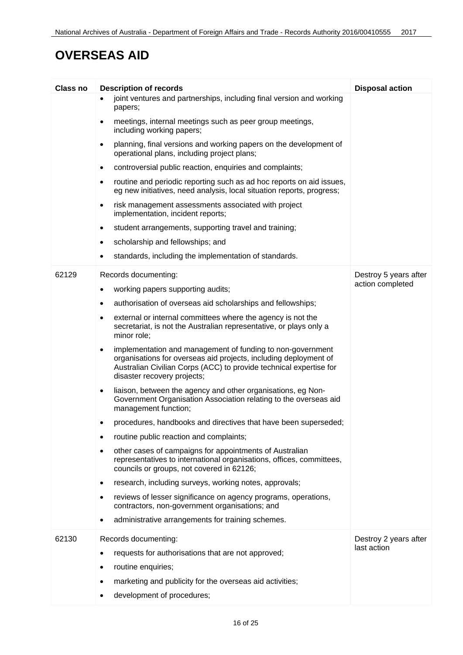| Class no | <b>Description of records</b>                                                                                                                                                                                                                    | <b>Disposal action</b> |
|----------|--------------------------------------------------------------------------------------------------------------------------------------------------------------------------------------------------------------------------------------------------|------------------------|
|          | joint ventures and partnerships, including final version and working<br>papers;                                                                                                                                                                  |                        |
|          | meetings, internal meetings such as peer group meetings,<br>including working papers;                                                                                                                                                            |                        |
|          | planning, final versions and working papers on the development of<br>operational plans, including project plans;                                                                                                                                 |                        |
|          | controversial public reaction, enquiries and complaints;                                                                                                                                                                                         |                        |
|          | routine and periodic reporting such as ad hoc reports on aid issues,<br>eg new initiatives, need analysis, local situation reports, progress;                                                                                                    |                        |
|          | risk management assessments associated with project<br>$\bullet$<br>implementation, incident reports;                                                                                                                                            |                        |
|          | student arrangements, supporting travel and training;                                                                                                                                                                                            |                        |
|          | scholarship and fellowships; and                                                                                                                                                                                                                 |                        |
|          | standards, including the implementation of standards.                                                                                                                                                                                            |                        |
| 62129    | Records documenting:                                                                                                                                                                                                                             | Destroy 5 years after  |
|          | working papers supporting audits;                                                                                                                                                                                                                | action completed       |
|          | authorisation of overseas aid scholarships and fellowships;<br>$\bullet$                                                                                                                                                                         |                        |
|          | external or internal committees where the agency is not the<br>$\bullet$<br>secretariat, is not the Australian representative, or plays only a<br>minor role;                                                                                    |                        |
|          | implementation and management of funding to non-government<br>$\bullet$<br>organisations for overseas aid projects, including deployment of<br>Australian Civilian Corps (ACC) to provide technical expertise for<br>disaster recovery projects; |                        |
|          | liaison, between the agency and other organisations, eg Non-<br>$\bullet$<br>Government Organisation Association relating to the overseas aid<br>management function;                                                                            |                        |
|          | procedures, handbooks and directives that have been superseded;                                                                                                                                                                                  |                        |
|          | routine public reaction and complaints;                                                                                                                                                                                                          |                        |
|          | other cases of campaigns for appointments of Australian<br>representatives to international organisations, offices, committees,<br>councils or groups, not covered in 62126;                                                                     |                        |
|          | research, including surveys, working notes, approvals;                                                                                                                                                                                           |                        |
|          | reviews of lesser significance on agency programs, operations,<br>contractors, non-government organisations; and                                                                                                                                 |                        |
|          | administrative arrangements for training schemes.                                                                                                                                                                                                |                        |
| 62130    | Records documenting:                                                                                                                                                                                                                             | Destroy 2 years after  |
|          | requests for authorisations that are not approved;                                                                                                                                                                                               | last action            |
|          | routine enquiries;                                                                                                                                                                                                                               |                        |
|          | marketing and publicity for the overseas aid activities;                                                                                                                                                                                         |                        |
|          | development of procedures;                                                                                                                                                                                                                       |                        |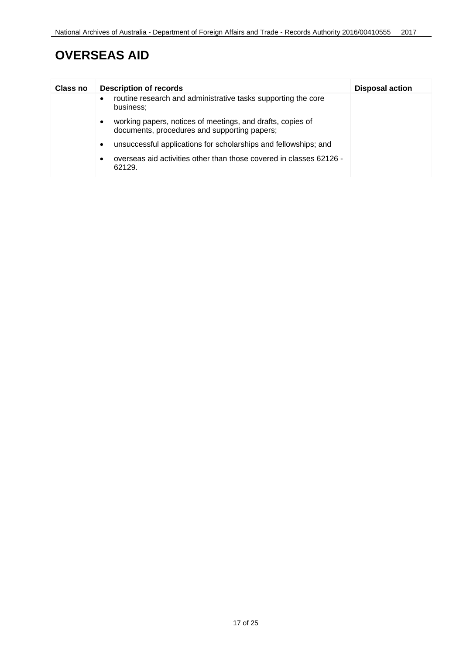| Class no | <b>Description of records</b>                                                                                   | <b>Disposal action</b> |
|----------|-----------------------------------------------------------------------------------------------------------------|------------------------|
|          | routine research and administrative tasks supporting the core<br>$\bullet$<br>business;                         |                        |
|          | working papers, notices of meetings, and drafts, copies of<br>٠<br>documents, procedures and supporting papers; |                        |
|          | unsuccessful applications for scholarships and fellowships; and<br>٠                                            |                        |
|          | overseas aid activities other than those covered in classes 62126 -<br>٠<br>62129.                              |                        |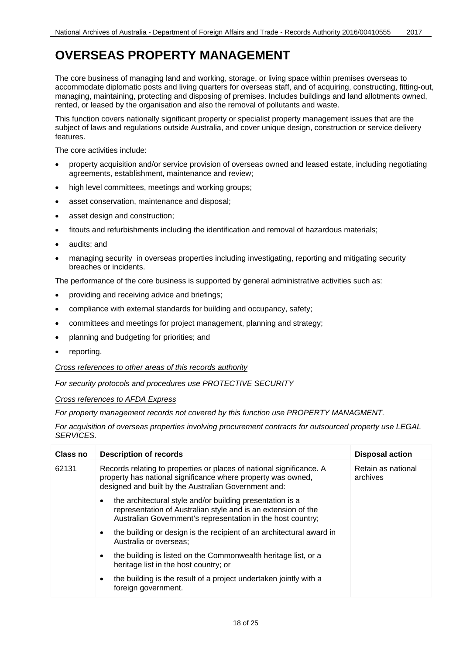<span id="page-17-0"></span>The core business of managing land and working, storage, or living space within premises overseas to accommodate diplomatic posts and living quarters for overseas staff, and of acquiring, constructing, fitting-out, managing, maintaining, protecting and disposing of premises. Includes buildings and land allotments owned, rented, or leased by the organisation and also the removal of pollutants and waste.

This function covers nationally significant property or specialist property management issues that are the subject of laws and regulations outside Australia, and cover unique design, construction or service delivery features.

The core activities include:

- property acquisition and/or service provision of overseas owned and leased estate, including negotiating agreements, establishment, maintenance and review;
- high level committees, meetings and working groups;
- asset conservation, maintenance and disposal;
- asset design and construction;
- fitouts and refurbishments including the identification and removal of hazardous materials;
- audits; and
- managing security in overseas properties including investigating, reporting and mitigating security breaches or incidents.

The performance of the core business is supported by general administrative activities such as:

- providing and receiving advice and briefings;
- compliance with external standards for building and occupancy, safety;
- committees and meetings for project management, planning and strategy;
- planning and budgeting for priorities; and
- reporting.

*Cross references to other areas of this records authority*

*For security protocols and procedures use PROTECTIVE SECURITY*

*Cross references to AFDA Express*

*For property management records not covered by this function use PROPERTY MANAGMENT.*

*For acquisition of overseas properties involving procurement contracts for outsourced property use LEGAL SERVICES.*

| Class no | <b>Description of records</b>                                                                                                                                                                  | <b>Disposal action</b>         |
|----------|------------------------------------------------------------------------------------------------------------------------------------------------------------------------------------------------|--------------------------------|
| 62131    | Records relating to properties or places of national significance. A<br>property has national significance where property was owned,<br>designed and built by the Australian Government and:   | Retain as national<br>archives |
|          | the architectural style and/or building presentation is a<br>٠<br>representation of Australian style and is an extension of the<br>Australian Government's representation in the host country; |                                |
|          | the building or design is the recipient of an architectural award in<br>٠<br>Australia or overseas:                                                                                            |                                |
|          | the building is listed on the Commonwealth heritage list, or a<br>٠<br>heritage list in the host country; or                                                                                   |                                |
|          | the building is the result of a project undertaken jointly with a<br>٠<br>foreign government.                                                                                                  |                                |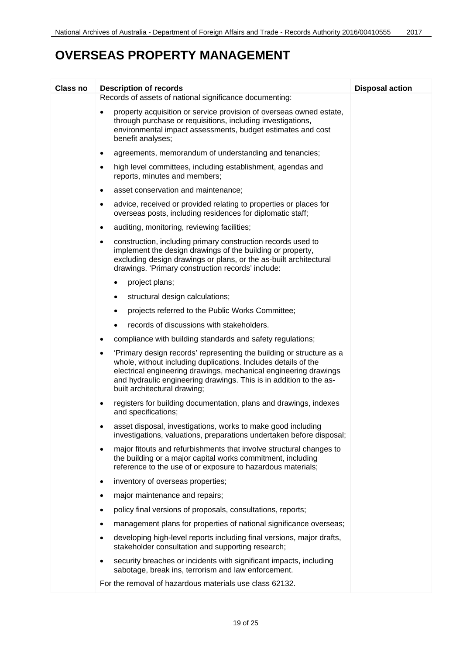| Class no | <b>Description of records</b>                                                                                                                                                                                                                                                                                                 | <b>Disposal action</b> |
|----------|-------------------------------------------------------------------------------------------------------------------------------------------------------------------------------------------------------------------------------------------------------------------------------------------------------------------------------|------------------------|
|          | Records of assets of national significance documenting:                                                                                                                                                                                                                                                                       |                        |
|          | property acquisition or service provision of overseas owned estate,<br>$\bullet$<br>through purchase or requisitions, including investigations,<br>environmental impact assessments, budget estimates and cost<br>benefit analyses;                                                                                           |                        |
|          | agreements, memorandum of understanding and tenancies;<br>٠                                                                                                                                                                                                                                                                   |                        |
|          | high level committees, including establishment, agendas and<br>٠<br>reports, minutes and members;                                                                                                                                                                                                                             |                        |
|          | asset conservation and maintenance;<br>٠                                                                                                                                                                                                                                                                                      |                        |
|          | advice, received or provided relating to properties or places for<br>٠<br>overseas posts, including residences for diplomatic staff;                                                                                                                                                                                          |                        |
|          | auditing, monitoring, reviewing facilities;<br>$\bullet$                                                                                                                                                                                                                                                                      |                        |
|          | construction, including primary construction records used to<br>٠<br>implement the design drawings of the building or property,<br>excluding design drawings or plans, or the as-built architectural<br>drawings. 'Primary construction records' include:                                                                     |                        |
|          | project plans;<br>$\bullet$                                                                                                                                                                                                                                                                                                   |                        |
|          | structural design calculations;<br>٠                                                                                                                                                                                                                                                                                          |                        |
|          | projects referred to the Public Works Committee;<br>$\bullet$                                                                                                                                                                                                                                                                 |                        |
|          | records of discussions with stakeholders.<br>$\bullet$                                                                                                                                                                                                                                                                        |                        |
|          | compliance with building standards and safety regulations;<br>٠                                                                                                                                                                                                                                                               |                        |
|          | 'Primary design records' representing the building or structure as a<br>$\bullet$<br>whole, without including duplications. Includes details of the<br>electrical engineering drawings, mechanical engineering drawings<br>and hydraulic engineering drawings. This is in addition to the as-<br>built architectural drawing; |                        |
|          | registers for building documentation, plans and drawings, indexes<br>٠<br>and specifications;                                                                                                                                                                                                                                 |                        |
|          | asset disposal, investigations, works to make good including<br>investigations, valuations, preparations undertaken before disposal;                                                                                                                                                                                          |                        |
|          | major fitouts and refurbishments that involve structural changes to<br>٠<br>the building or a major capital works commitment, including<br>reference to the use of or exposure to hazardous materials;                                                                                                                        |                        |
|          | inventory of overseas properties;<br>$\bullet$                                                                                                                                                                                                                                                                                |                        |
|          | major maintenance and repairs;<br>٠                                                                                                                                                                                                                                                                                           |                        |
|          | policy final versions of proposals, consultations, reports;<br>٠                                                                                                                                                                                                                                                              |                        |
|          | management plans for properties of national significance overseas;<br>٠                                                                                                                                                                                                                                                       |                        |
|          | developing high-level reports including final versions, major drafts,<br>٠<br>stakeholder consultation and supporting research;                                                                                                                                                                                               |                        |
|          | security breaches or incidents with significant impacts, including<br>٠<br>sabotage, break ins, terrorism and law enforcement.                                                                                                                                                                                                |                        |
|          | For the removal of hazardous materials use class 62132.                                                                                                                                                                                                                                                                       |                        |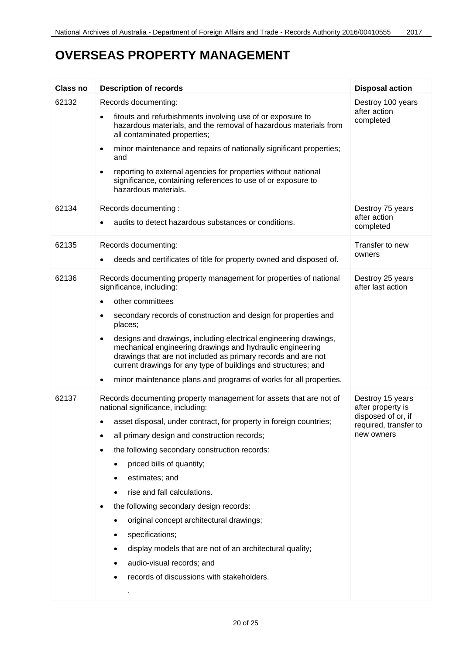| <b>Class no</b> | <b>Description of records</b>                                                                                                                                                                                                                                                                                                                                                                                                                                                                                                                                                                                                               | <b>Disposal action</b>                                                                             |
|-----------------|---------------------------------------------------------------------------------------------------------------------------------------------------------------------------------------------------------------------------------------------------------------------------------------------------------------------------------------------------------------------------------------------------------------------------------------------------------------------------------------------------------------------------------------------------------------------------------------------------------------------------------------------|----------------------------------------------------------------------------------------------------|
| 62132           | Records documenting:<br>fitouts and refurbishments involving use of or exposure to<br>hazardous materials, and the removal of hazardous materials from<br>all contaminated properties;<br>minor maintenance and repairs of nationally significant properties;<br>and                                                                                                                                                                                                                                                                                                                                                                        | Destroy 100 years<br>after action<br>completed                                                     |
|                 | reporting to external agencies for properties without national<br>significance, containing references to use of or exposure to<br>hazardous materials.                                                                                                                                                                                                                                                                                                                                                                                                                                                                                      |                                                                                                    |
| 62134           | Records documenting:<br>audits to detect hazardous substances or conditions.                                                                                                                                                                                                                                                                                                                                                                                                                                                                                                                                                                | Destroy 75 years<br>after action<br>completed                                                      |
| 62135           | Records documenting:<br>deeds and certificates of title for property owned and disposed of.                                                                                                                                                                                                                                                                                                                                                                                                                                                                                                                                                 | Transfer to new<br>owners                                                                          |
| 62136           | Records documenting property management for properties of national<br>significance, including:<br>other committees<br>secondary records of construction and design for properties and<br>places;<br>designs and drawings, including electrical engineering drawings,<br>$\bullet$<br>mechanical engineering drawings and hydraulic engineering<br>drawings that are not included as primary records and are not<br>current drawings for any type of buildings and structures; and<br>minor maintenance plans and programs of works for all properties.                                                                                      | Destroy 25 years<br>after last action                                                              |
| 62137           | Records documenting property management for assets that are not of<br>national significance, including:<br>asset disposal, under contract, for property in foreign countries;<br>all primary design and construction records;<br>the following secondary construction records:<br>priced bills of quantity;<br>estimates; and<br>rise and fall calculations.<br>the following secondary design records:<br>original concept architectural drawings;<br>٠<br>specifications;<br>$\bullet$<br>display models that are not of an architectural quality;<br>audio-visual records; and<br>records of discussions with stakeholders.<br>$\bullet$ | Destroy 15 years<br>after property is<br>disposed of or, if<br>required, transfer to<br>new owners |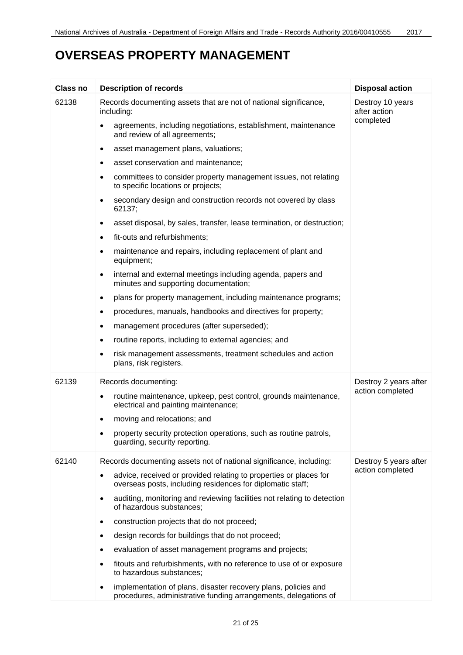| <b>Class no</b> | <b>Description of records</b>                                                                                                     | <b>Disposal action</b>                        |
|-----------------|-----------------------------------------------------------------------------------------------------------------------------------|-----------------------------------------------|
| 62138           | Records documenting assets that are not of national significance,<br>including:                                                   | Destroy 10 years<br>after action<br>completed |
|                 | agreements, including negotiations, establishment, maintenance<br>$\bullet$<br>and review of all agreements;                      |                                               |
|                 | asset management plans, valuations;<br>$\bullet$                                                                                  |                                               |
|                 | asset conservation and maintenance;<br>$\bullet$                                                                                  |                                               |
|                 | committees to consider property management issues, not relating<br>$\bullet$<br>to specific locations or projects;                |                                               |
|                 | secondary design and construction records not covered by class<br>$\bullet$<br>62137;                                             |                                               |
|                 | asset disposal, by sales, transfer, lease termination, or destruction;<br>$\bullet$                                               |                                               |
|                 | fit-outs and refurbishments;<br>$\bullet$                                                                                         |                                               |
|                 | maintenance and repairs, including replacement of plant and<br>٠<br>equipment;                                                    |                                               |
|                 | internal and external meetings including agenda, papers and<br>$\bullet$<br>minutes and supporting documentation;                 |                                               |
|                 | plans for property management, including maintenance programs;<br>$\bullet$                                                       |                                               |
|                 | procedures, manuals, handbooks and directives for property;<br>$\bullet$                                                          |                                               |
|                 | management procedures (after superseded);<br>$\bullet$                                                                            |                                               |
|                 | routine reports, including to external agencies; and<br>٠                                                                         |                                               |
|                 | risk management assessments, treatment schedules and action<br>٠<br>plans, risk registers.                                        |                                               |
| 62139           | Records documenting:                                                                                                              | Destroy 2 years after                         |
|                 | routine maintenance, upkeep, pest control, grounds maintenance,<br>$\bullet$<br>electrical and painting maintenance;              | action completed                              |
|                 | moving and relocations; and<br>٠                                                                                                  |                                               |
|                 | property security protection operations, such as routine patrols,<br>٠<br>guarding, security reporting.                           |                                               |
| 62140           | Records documenting assets not of national significance, including:                                                               | Destroy 5 years after                         |
|                 | advice, received or provided relating to properties or places for<br>overseas posts, including residences for diplomatic staff;   | action completed                              |
|                 | auditing, monitoring and reviewing facilities not relating to detection<br>of hazardous substances;                               |                                               |
|                 | construction projects that do not proceed;                                                                                        |                                               |
|                 | design records for buildings that do not proceed;<br>$\bullet$                                                                    |                                               |
|                 | evaluation of asset management programs and projects;                                                                             |                                               |
|                 | fitouts and refurbishments, with no reference to use of or exposure<br>to hazardous substances;                                   |                                               |
|                 | implementation of plans, disaster recovery plans, policies and<br>procedures, administrative funding arrangements, delegations of |                                               |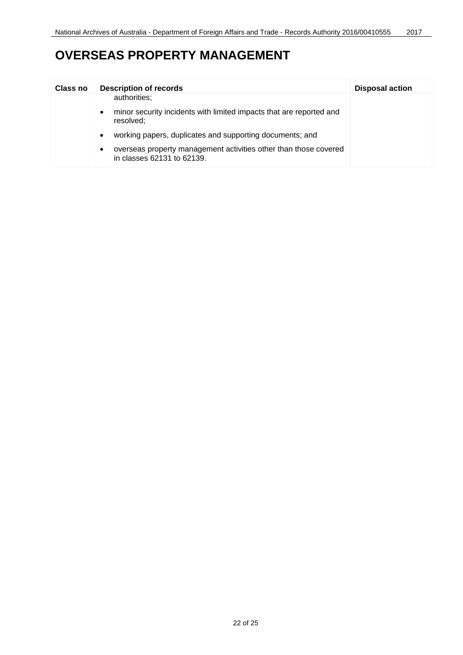| Class no | <b>Description of records</b>                                                                  | <b>Disposal action</b> |
|----------|------------------------------------------------------------------------------------------------|------------------------|
|          | authorities;                                                                                   |                        |
|          | minor security incidents with limited impacts that are reported and<br>resolved;               |                        |
|          | working papers, duplicates and supporting documents; and                                       |                        |
|          | overseas property management activities other than those covered<br>in classes 62131 to 62139. |                        |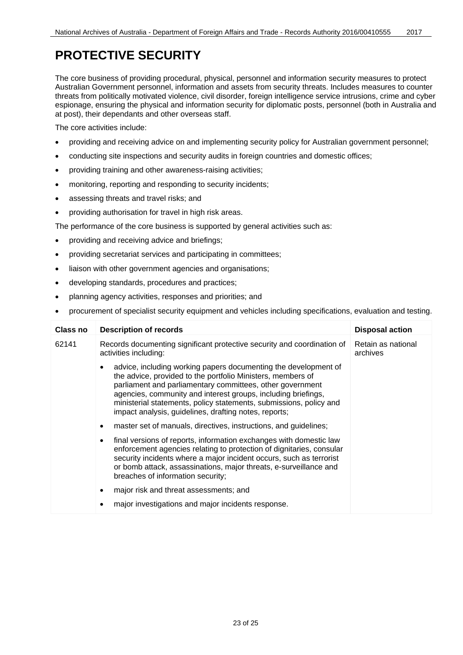#### <span id="page-22-0"></span>**PROTECTIVE SECURITY**

The core business of providing procedural, physical, personnel and information security measures to protect Australian Government personnel, information and assets from security threats. Includes measures to counter threats from politically motivated violence, civil disorder, foreign intelligence service intrusions, crime and cyber espionage, ensuring the physical and information security for diplomatic posts, personnel (both in Australia and at post), their dependants and other overseas staff.

The core activities include:

- providing and receiving advice on and implementing security policy for Australian government personnel;
- conducting site inspections and security audits in foreign countries and domestic offices;
- providing training and other awareness-raising activities;
- monitoring, reporting and responding to security incidents;
- assessing threats and travel risks; and
- providing authorisation for travel in high risk areas.

The performance of the core business is supported by general activities such as:

- providing and receiving advice and briefings;
- providing secretariat services and participating in committees;
- liaison with other government agencies and organisations;
- developing standards, procedures and practices;
- planning agency activities, responses and priorities; and
- procurement of specialist security equipment and vehicles including specifications, evaluation and testing.

| Class no | <b>Description of records</b>                                                                                                                                                                                                                                                                                                                                                                            | <b>Disposal action</b>         |
|----------|----------------------------------------------------------------------------------------------------------------------------------------------------------------------------------------------------------------------------------------------------------------------------------------------------------------------------------------------------------------------------------------------------------|--------------------------------|
| 62141    | Records documenting significant protective security and coordination of<br>activities including:                                                                                                                                                                                                                                                                                                         | Retain as national<br>archives |
|          | advice, including working papers documenting the development of<br>$\bullet$<br>the advice, provided to the portfolio Ministers, members of<br>parliament and parliamentary committees, other government<br>agencies, community and interest groups, including briefings,<br>ministerial statements, policy statements, submissions, policy and<br>impact analysis, guidelines, drafting notes, reports; |                                |
|          | master set of manuals, directives, instructions, and guidelines;<br>٠                                                                                                                                                                                                                                                                                                                                    |                                |
|          | final versions of reports, information exchanges with domestic law<br>$\bullet$<br>enforcement agencies relating to protection of dignitaries, consular<br>security incidents where a major incident occurs, such as terrorist<br>or bomb attack, assassinations, major threats, e-surveillance and<br>breaches of information security;                                                                 |                                |
|          | major risk and threat assessments; and<br>٠                                                                                                                                                                                                                                                                                                                                                              |                                |
|          | major investigations and major incidents response.<br>с                                                                                                                                                                                                                                                                                                                                                  |                                |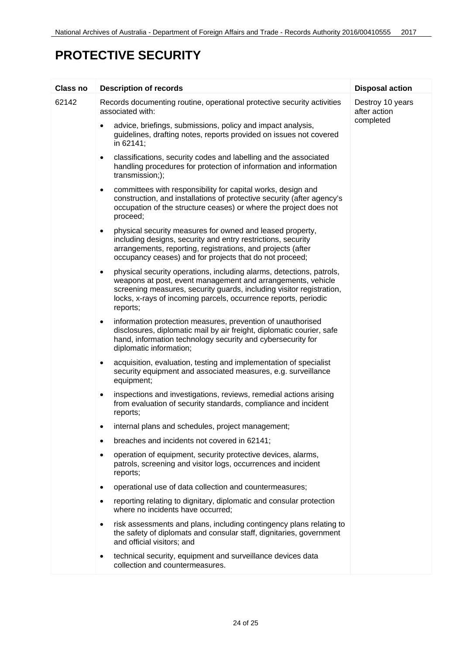### **PROTECTIVE SECURITY**

| Class no | <b>Description of records</b>                                                                                                                                                                                                                                                                           | <b>Disposal action</b>           |
|----------|---------------------------------------------------------------------------------------------------------------------------------------------------------------------------------------------------------------------------------------------------------------------------------------------------------|----------------------------------|
| 62142    | Records documenting routine, operational protective security activities<br>associated with:                                                                                                                                                                                                             | Destroy 10 years<br>after action |
|          | advice, briefings, submissions, policy and impact analysis,<br>$\bullet$<br>guidelines, drafting notes, reports provided on issues not covered<br>in 62141;                                                                                                                                             | completed                        |
|          | classifications, security codes and labelling and the associated<br>$\bullet$<br>handling procedures for protection of information and information<br>transmission;);                                                                                                                                   |                                  |
|          | committees with responsibility for capital works, design and<br>$\bullet$<br>construction, and installations of protective security (after agency's<br>occupation of the structure ceases) or where the project does not<br>proceed;                                                                    |                                  |
|          | physical security measures for owned and leased property,<br>$\bullet$<br>including designs, security and entry restrictions, security<br>arrangements, reporting, registrations, and projects (after<br>occupancy ceases) and for projects that do not proceed;                                        |                                  |
|          | physical security operations, including alarms, detections, patrols,<br>$\bullet$<br>weapons at post, event management and arrangements, vehicle<br>screening measures, security guards, including visitor registration,<br>locks, x-rays of incoming parcels, occurrence reports, periodic<br>reports; |                                  |
|          | information protection measures, prevention of unauthorised<br>$\bullet$<br>disclosures, diplomatic mail by air freight, diplomatic courier, safe<br>hand, information technology security and cybersecurity for<br>diplomatic information;                                                             |                                  |
|          | acquisition, evaluation, testing and implementation of specialist<br>$\bullet$<br>security equipment and associated measures, e.g. surveillance<br>equipment;                                                                                                                                           |                                  |
|          | inspections and investigations, reviews, remedial actions arising<br>from evaluation of security standards, compliance and incident<br>reports;                                                                                                                                                         |                                  |
|          | internal plans and schedules, project management;<br>٠                                                                                                                                                                                                                                                  |                                  |
|          | breaches and incidents not covered in 62141;                                                                                                                                                                                                                                                            |                                  |
|          | operation of equipment, security protective devices, alarms,<br>patrols, screening and visitor logs, occurrences and incident<br>reports;                                                                                                                                                               |                                  |
|          | operational use of data collection and countermeasures;                                                                                                                                                                                                                                                 |                                  |
|          | reporting relating to dignitary, diplomatic and consular protection<br>where no incidents have occurred;                                                                                                                                                                                                |                                  |
|          | risk assessments and plans, including contingency plans relating to<br>the safety of diplomats and consular staff, dignitaries, government<br>and official visitors; and                                                                                                                                |                                  |
|          | technical security, equipment and surveillance devices data<br>$\bullet$<br>collection and countermeasures.                                                                                                                                                                                             |                                  |